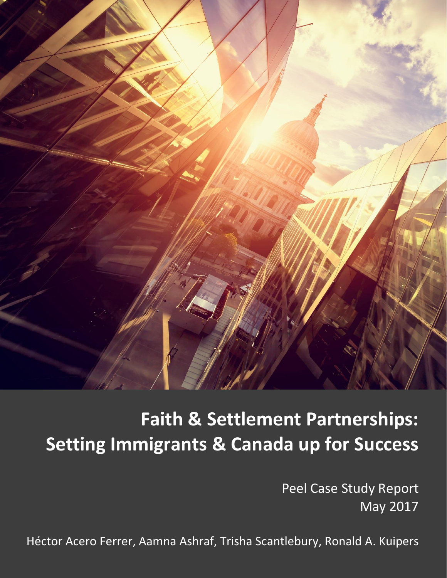

# **Faith & Settlement Partnerships: Setting Immigrants & Canada up for Success**

Peel Case Study Report May 2017

Héctor Acero Ferrer, Aamna Ashraf, Trisha Scantlebury, Ronald A. Kuipers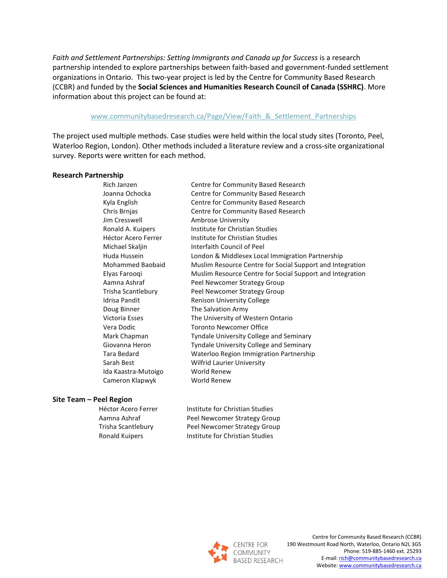Faith and Settlement Partnerships: Setting Immigrants and Canada up for Success is a research partnership intended to explore partnerships between faith-based and government-funded settlement organizations in Ontario. This two-year project is led by the Centre for Community Based Research (CCBR) and funded by the **Social Sciences and Humanities Research Council of Canada (SSHRC)**. More information about this project can be found at:

#### www.communitybasedresearch.ca/Page/View/Faith & Settlement Partnerships

The project used multiple methods. Case studies were held within the local study sites (Toronto, Peel, Waterloo Region, London). Other methods included a literature review and a cross-site organizational survey. Reports were written for each method.

#### **Research Partnership**

Jim Cresswell **Ambrose University** Doug Binner The Salvation Army Ida Kaastra-Mutoigo World Renew Cameron Klapwyk World Renew

Rich Janzen Centre for Community Based Research Joanna Ochocka Centre for Community Based Research Kyla English Centre for Community Based Research Chris Brnjas Centre for Community Based Research Ronald A. Kuipers **Institute for Christian Studies** Héctor Acero Ferrer **Institute for Christian Studies** Michael Skaliin **Interfaith Council of Peel** Huda Hussein London & Middlesex Local Immigration Partnership Mohammed Baobaid Muslim Resource Centre for Social Support and Integration Elyas Farooqi Muslim Resource Centre for Social Support and Integration Aamna Ashraf Peel Newcomer Strategy Group Trisha Scantlebury Peel Newcomer Strategy Group Idrisa Pandit **Renison University College** Victoria Esses The University of Western Ontario Vera Dodic Toronto Newcomer Office Mark Chapman Tyndale University College and Seminary Giovanna Heron Tyndale University College and Seminary Tara Bedard Waterloo Region Immigration Partnership Sarah Best Wilfrid Laurier University

#### **Site Team – Peel Region**

| Héctor Acero Ferrer | Institute for Christian Studies |
|---------------------|---------------------------------|
| Aamna Ashraf        | Peel Newcomer Strategy Group    |
| Trisha Scantlebury  | Peel Newcomer Strategy Group    |
| Ronald Kuipers      | Institute for Christian Studies |

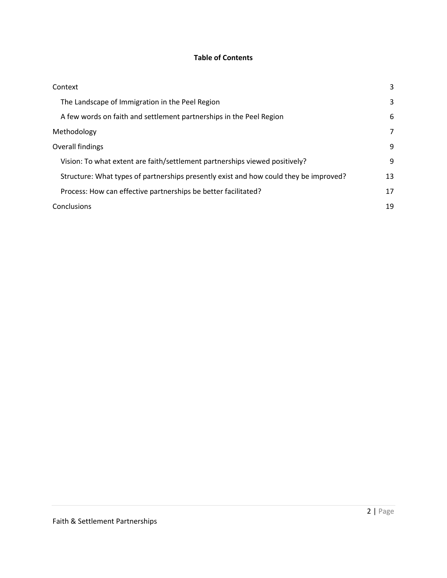#### **Table of Contents**

| Context                                                                               | 3  |
|---------------------------------------------------------------------------------------|----|
| The Landscape of Immigration in the Peel Region                                       | 3  |
| A few words on faith and settlement partnerships in the Peel Region                   | 6  |
| Methodology                                                                           | 7  |
| Overall findings                                                                      |    |
| Vision: To what extent are faith/settlement partnerships viewed positively?           | 9  |
| Structure: What types of partnerships presently exist and how could they be improved? | 13 |
| Process: How can effective partnerships be better facilitated?                        | 17 |
| Conclusions                                                                           | 19 |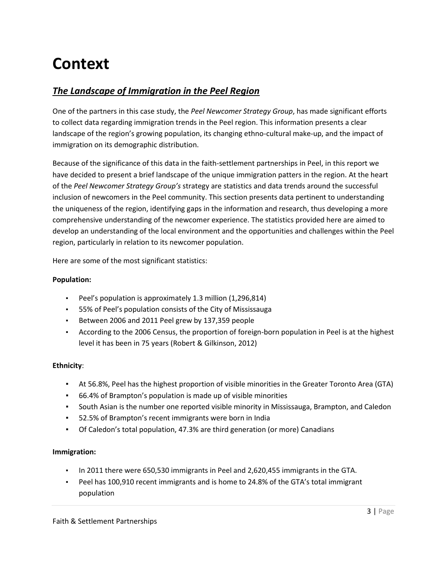## **Context**

### *The Landscape of Immigration in the Peel Region*

One of the partners in this case study, the *Peel Newcomer Strategy Group*, has made significant efforts to collect data regarding immigration trends in the Peel region. This information presents a clear landscape of the region's growing population, its changing ethno-cultural make-up, and the impact of immigration on its demographic distribution.

Because of the significance of this data in the faith-settlement partnerships in Peel, in this report we have decided to present a brief landscape of the unique immigration patters in the region. At the heart of the *Peel Newcomer Strategy Group's* strategy are statistics and data trends around the successful inclusion of newcomers in the Peel community. This section presents data pertinent to understanding the uniqueness of the region, identifying gaps in the information and research, thus developing a more comprehensive understanding of the newcomer experience. The statistics provided here are aimed to develop an understanding of the local environment and the opportunities and challenges within the Peel region, particularly in relation to its newcomer population.

Here are some of the most significant statistics:

#### **Population:**

- Peel's population is approximately 1.3 million (1,296,814)
- 55% of Peel's population consists of the City of Mississauga
- Between 2006 and 2011 Peel grew by 137,359 people
- According to the 2006 Census, the proportion of foreign-born population in Peel is at the highest level it has been in 75 years (Robert & Gilkinson, 2012)

#### **Ethnicity**:

- At 56.8%, Peel has the highest proportion of visible minorities in the Greater Toronto Area (GTA)
- 66.4% of Brampton's population is made up of visible minorities
- South Asian is the number one reported visible minority in Mississauga, Brampton, and Caledon
- 52.5% of Brampton's recent immigrants were born in India
- Of Caledon's total population, 47.3% are third generation (or more) Canadians

#### **Immigration:**

- In 2011 there were 650,530 immigrants in Peel and 2,620,455 immigrants in the GTA.
- Peel has 100,910 recent immigrants and is home to 24.8% of the GTA's total immigrant population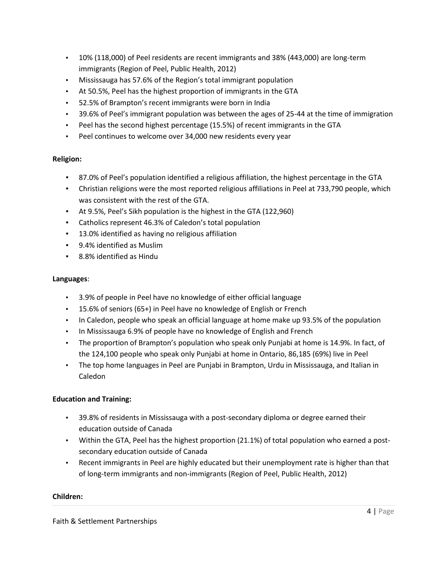- 10% (118,000) of Peel residents are recent immigrants and 38% (443,000) are long-term immigrants (Region of Peel, Public Health, 2012)
- Mississauga has 57.6% of the Region's total immigrant population
- At 50.5%, Peel has the highest proportion of immigrants in the GTA
- 52.5% of Brampton's recent immigrants were born in India
- 39.6% of Peel's immigrant population was between the ages of 25-44 at the time of immigration
- Peel has the second highest percentage (15.5%) of recent immigrants in the GTA
- Peel continues to welcome over 34,000 new residents every year

#### **Religion:**

- 87.0% of Peel's population identified a religious affiliation, the highest percentage in the GTA
- Christian religions were the most reported religious affiliations in Peel at 733,790 people, which was consistent with the rest of the GTA.
- At 9.5%, Peel's Sikh population is the highest in the GTA (122,960)
- Catholics represent 46.3% of Caledon's total population
- 13.0% identified as having no religious affiliation
- 9.4% identified as Muslim
- 8.8% identified as Hindu

#### **Languages**:

- 3.9% of people in Peel have no knowledge of either official language
- 15.6% of seniors (65+) in Peel have no knowledge of English or French
- In Caledon, people who speak an official language at home make up 93.5% of the population
- In Mississauga 6.9% of people have no knowledge of English and French
- The proportion of Brampton's population who speak only Punjabi at home is 14.9%. In fact, of the 124,100 people who speak only Punjabi at home in Ontario, 86,185 (69%) live in Peel
- The top home languages in Peel are Punjabi in Brampton, Urdu in Mississauga, and Italian in Caledon

#### **Education and Training:**

- **•** 39.8% of residents in Mississauga with a post-secondary diploma or degree earned their education outside of Canada
- Within the GTA, Peel has the highest proportion (21.1%) of total population who earned a postsecondary education outside of Canada
- Recent immigrants in Peel are highly educated but their unemployment rate is higher than that of long-term immigrants and non-immigrants (Region of Peel, Public Health, 2012)

#### **Children:**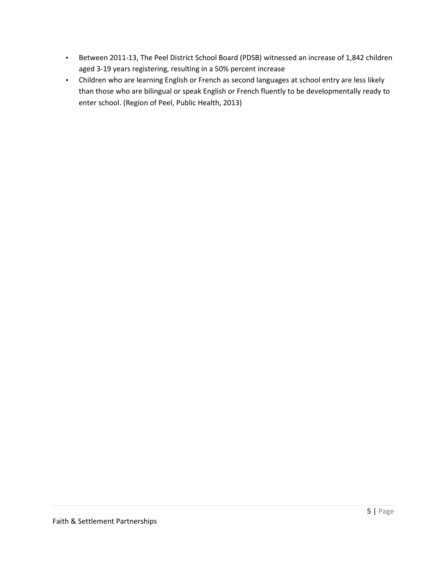- Between 2011-13, The Peel District School Board (PDSB) witnessed an increase of 1,842 children aged 3-19 years registering, resulting in a 50% percent increase
- Children who are learning English or French as second languages at school entry are less likely than those who are bilingual or speak English or French fluently to be developmentally ready to enter school. (Region of Peel, Public Health, 2013)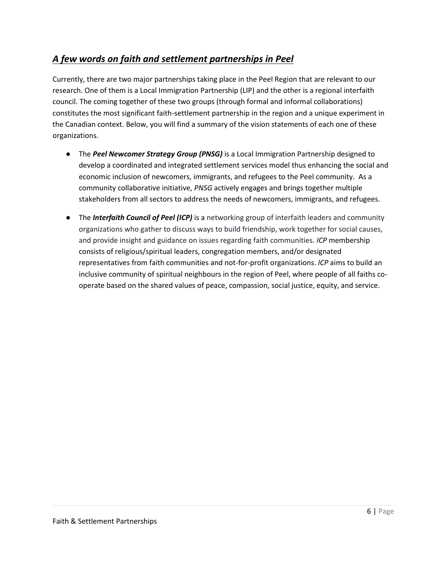## *A few words on faith and settlement partnerships in Peel*

Currently, there are two major partnerships taking place in the Peel Region that are relevant to our research. One of them is a Local Immigration Partnership (LIP) and the other is a regional interfaith council. The coming together of these two groups (through formal and informal collaborations) constitutes the most significant faith-settlement partnership in the region and a unique experiment in the Canadian context. Below, you will find a summary of the vision statements of each one of these organizations.

- The *Peel Newcomer Strategy Group (PNSG)* is a Local Immigration Partnership designed to develop a coordinated and integrated settlement services model thus enhancing the social and economic inclusion of newcomers, immigrants, and refugees to the Peel community. As a community collaborative initiative, *PNSG* actively engages and brings together multiple stakeholders from all sectors to address the needs of newcomers, immigrants, and refugees.
- The *Interfaith Council of Peel (ICP)* is a networking group of interfaith leaders and community organizations who gather to discuss ways to build friendship, work together for social causes, and provide insight and guidance on issues regarding faith communities. *ICP* membership consists of religious/spiritual leaders, congregation members, and/or designated representatives from faith communities and not-for-profit organizations. *ICP* aims to build an inclusive community of spiritual neighbours in the region of Peel, where people of all faiths cooperate based on the shared values of peace, compassion, social justice, equity, and service.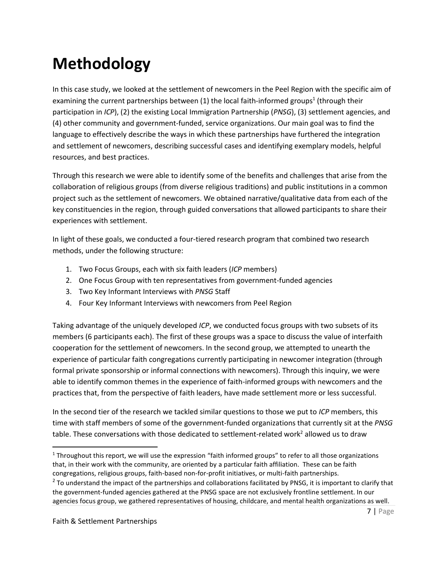## **Methodology**

In this case study, we looked at the settlement of newcomers in the Peel Region with the specific aim of examining the current partnerships between (1) the local faith-informed groups<sup>1</sup> (through their participation in *ICP*), (2) the existing Local Immigration Partnership (*PNSG*), (3) settlement agencies, and (4) other community and government-funded, service organizations. Our main goal was to find the language to effectively describe the ways in which these partnerships have furthered the integration and settlement of newcomers, describing successful cases and identifying exemplary models, helpful resources, and best practices.

Through this research we were able to identify some of the benefits and challenges that arise from the collaboration of religious groups (from diverse religious traditions) and public institutions in a common project such as the settlement of newcomers. We obtained narrative/qualitative data from each of the key constituencies in the region, through guided conversations that allowed participants to share their experiences with settlement.

In light of these goals, we conducted a four-tiered research program that combined two research methods, under the following structure:

- 1. Two Focus Groups, each with six faith leaders (*ICP* members)
- 2. One Focus Group with ten representatives from government-funded agencies
- 3. Two Key Informant Interviews with *PNSG* Staff
- 4. Four Key Informant Interviews with newcomers from Peel Region

Taking advantage of the uniquely developed *ICP*, we conducted focus groups with two subsets of its members (6 participants each). The first of these groups was a space to discuss the value of interfaith cooperation for the settlement of newcomers. In the second group, we attempted to unearth the experience of particular faith congregations currently participating in newcomer integration (through formal private sponsorship or informal connections with newcomers). Through this inquiry, we were able to identify common themes in the experience of faith-informed groups with newcomers and the practices that, from the perspective of faith leaders, have made settlement more or less successful.

In the second tier of the research we tackled similar questions to those we put to *ICP* members, this time with staff members of some of the government-funded organizations that currently sit at the *PNSG* table. These conversations with those dedicated to settlement-related work<sup>2</sup> allowed us to draw

 $1$  Throughout this report, we will use the expression "faith informed groups" to refer to all those organizations that, in their work with the community, are oriented by a particular faith affiliation. These can be faith congregations, religious groups, faith-based non-for-profit initiatives, or multi-faith partnerships.

 $^2$  To understand the impact of the partnerships and collaborations facilitated by PNSG, it is important to clarify that the government-funded agencies gathered at the PNSG space are not exclusively frontline settlement. In our agencies focus group, we gathered representatives of housing, childcare, and mental health organizations as well.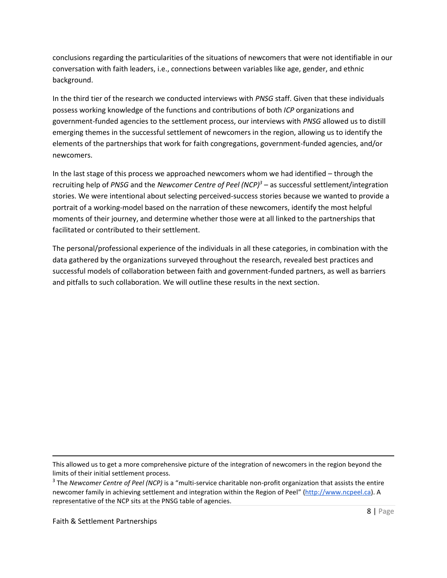conclusions regarding the particularities of the situations of newcomers that were not identifiable in our conversation with faith leaders, i.e., connections between variables like age, gender, and ethnic background.

In the third tier of the research we conducted interviews with *PNSG* staff. Given that these individuals possess working knowledge of the functions and contributions of both *ICP* organizations and government-funded agencies to the settlement process, our interviews with *PNSG* allowed us to distill emerging themes in the successful settlement of newcomers in the region, allowing us to identify the elements of the partnerships that work for faith congregations, government-funded agencies, and/or newcomers.

In the last stage of this process we approached newcomers whom we had identified – through the recruiting help of *PNSG* and the *Newcomer Centre of Peel (NCP)<sup>3</sup>* – as successful settlement/integration stories. We were intentional about selecting perceived-success stories because we wanted to provide a portrait of a working-model based on the narration of these newcomers, identify the most helpful moments of their journey, and determine whether those were at all linked to the partnerships that facilitated or contributed to their settlement.

The personal/professional experience of the individuals in all these categories, in combination with the data gathered by the organizations surveyed throughout the research, revealed best practices and successful models of collaboration between faith and government-funded partners, as well as barriers and pitfalls to such collaboration. We will outline these results in the next section.

This allowed us to get a more comprehensive picture of the integration of newcomers in the region beyond the limits of their initial settlement process.

<sup>&</sup>lt;sup>3</sup> The *Newcomer Centre of Peel (NCP)* is a "multi-service charitable non-profit organization that assists the entire newcomer family in achieving settlement and integration within the Region of Peel" ([http://www.ncpeel.ca\)](http://www.ncpeel.ca/). A representative of the NCP sits at the PNSG table of agencies.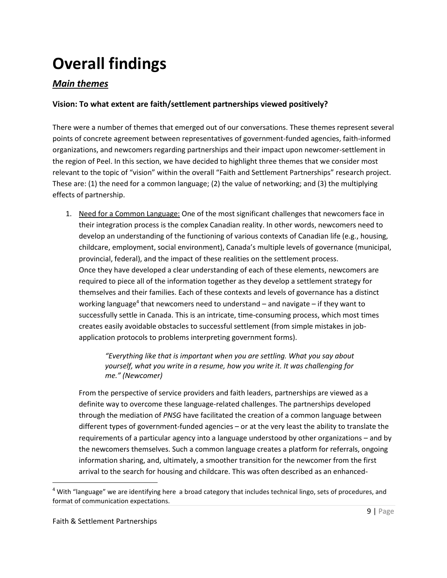## <span id="page-9-0"></span>**Overall findings**

### *Main themes*

#### **Vision: To what extent are faith/settlement partnerships viewed positively?**

There were a number of themes that emerged out of our conversations. These themes represent several points of concrete agreement between representatives of government-funded agencies, faith-informed organizations, and newcomers regarding partnerships and their impact upon newcomer-settlement in the region of Peel. In this section, we have decided to highlight three themes that we consider most relevant to the topic of "vision" within the overall "Faith and Settlement Partnerships" research project. These are: (1) the need for a common language; (2) the value of networking; and (3) the multiplying effects of partnership.

1. Need for a Common Language: One of the most significant challenges that newcomers face in their integration process is the complex Canadian reality. In other words, newcomers need to develop an understanding of the functioning of various contexts of Canadian life (e.g., housing, childcare, employment, social environment), Canada's multiple levels of governance (municipal, provincial, federal), and the impact of these realities on the settlement process. Once they have developed a clear understanding of each of these elements, newcomers are required to piece all of the information together as they develop a settlement strategy for themselves and their families. Each of these contexts and levels of governance has a distinct working language<sup>4</sup> that newcomers need to understand – and navigate – if they want to successfully settle in Canada. This is an intricate, time-consuming process, which most times creates easily avoidable obstacles to successful settlement (from simple mistakes in jobapplication protocols to problems interpreting government forms).

> *"Everything like that is important when you are settling. What you say about yourself, what you write in a resume, how you write it. It was challenging for me." (Newcomer)*

From the perspective of service providers and faith leaders, partnerships are viewed as a definite way to overcome these language-related challenges. The partnerships developed through the mediation of *PNSG* have facilitated the creation of a common language between different types of government-funded agencies – or at the very least the ability to translate the requirements of a particular agency into a language understood by other organizations – and by the newcomers themselves. Such a common language creates a platform for referrals, ongoing information sharing, and, ultimately, a smoother transition for the newcomer from the first arrival to the search for housing and childcare. This was often described as an enhanced-

 $\overline{a}$ 

 $4$  With "language" we are identifying here a broad category that includes technical lingo, sets of procedures, and format of communication expectations.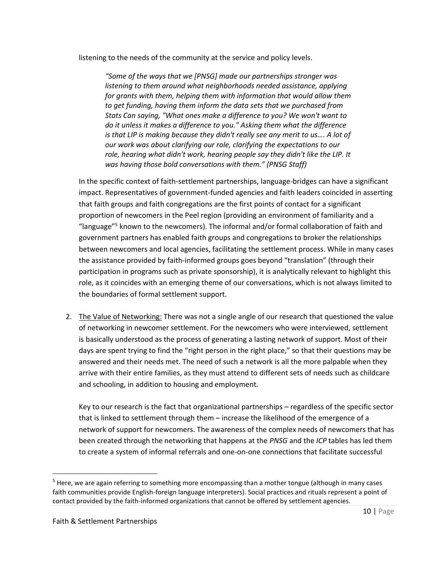listening to the needs of the community at the service and policy levels.

*"Some of the ways that we [PNSG] made our partnerships stronger was listening to them around what neighborhoods needed assistance, applying for grants with them, helping them with information that would allow them to get funding, having them inform the data sets that we purchased from Stats Can saying, "What ones make a difference to you? We won't want to do it unless it makes a difference to you." Asking them what the difference is that LIP is making because they didn't really see any merit to us…. A lot of our work was about clarifying our role, clarifying the expectations to our role, hearing what didn't work, hearing people say they didn't like the LIP. It was having those bold conversations with them." (PNSG Staff)* 

In the specific context of faith-settlement partnerships, language-bridges can have a significant impact. Representatives of government-funded agencies and faith leaders coincided in asserting that faith groups and faith congregations are the first points of contact for a significant proportion of newcomers in the Peel region (providing an environment of familiarity and a "language"<sup>5</sup> known to the newcomers). The informal and/or formal collaboration of faith and government partners has enabled faith groups and congregations to broker the relationships between newcomers and local agencies, facilitating the settlement process. While in many cases the assistance provided by faith-informed groups goes beyond "translation" (through their participation in programs such as private sponsorship), it is analytically relevant to highlight this role, as it coincides with an emerging theme of our conversations, which is not always limited to the boundaries of formal settlement support.

2. The Value of Networking: There was not a single angle of our research that questioned the value of networking in newcomer settlement. For the newcomers who were interviewed, settlement is basically understood as the process of generating a lasting network of support. Most of their days are spent trying to find the "right person in the right place," so that their questions may be answered and their needs met. The need of such a network is all the more palpable when they arrive with their entire families, as they must attend to different sets of needs such as childcare and schooling, in addition to housing and employment.

Key to our research is the fact that organizational partnerships – regardless of the specific sector that is linked to settlement through them – increase the likelihood of the emergence of a network of support for newcomers. The awareness of the complex needs of newcomers that has been created through the networking that happens at the *PNSG* and the *ICP* tables has led them to create a system of informal referrals and one-on-one connections that facilitate successful

 $<sup>5</sup>$  Here, we are again referring to something more encompassing than a mother tongue (although in many cases</sup> faith communities provide English-foreign language interpreters). Social practices and rituals represent a point of contact provided by the faith-informed organizations that cannot be offered by settlement agencies.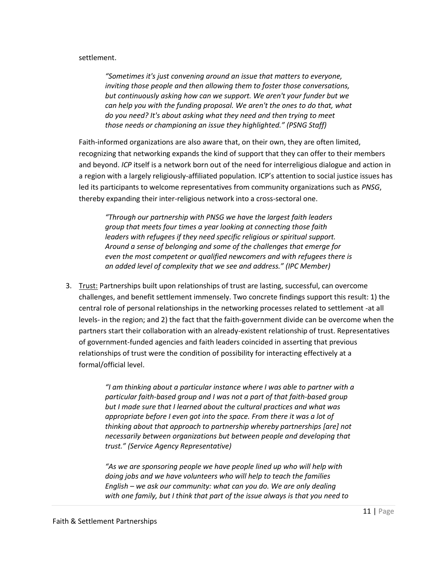#### settlement.

*"Sometimes it's just convening around an issue that matters to everyone, inviting those people and then allowing them to foster those conversations, but continuously asking how can we support. We aren't your funder but we can help you with the funding proposal. We aren't the ones to do that, what do you need? It's about asking what they need and then trying to meet those needs or championing an issue they highlighted." (PSNG Staff)*

Faith-informed organizations are also aware that, on their own, they are often limited, recognizing that networking expands the kind of support that they can offer to their members and beyond. *ICP* itself is a network born out of the need for interreligious dialogue and action in a region with a largely religiously-affiliated population. ICP's attention to social justice issues has led its participants to welcome representatives from community organizations such as *PNSG*, thereby expanding their inter-religious network into a cross-sectoral one.

*"Through our partnership with PNSG we have the largest faith leaders group that meets four times a year looking at connecting those faith leaders with refugees if they need specific religious or spiritual support. Around a sense of belonging and some of the challenges that emerge for even the most competent or qualified newcomers and with refugees there is an added level of complexity that we see and address." (IPC Member)* 

3. Trust: Partnerships built upon relationships of trust are lasting, successful, can overcome challenges, and benefit settlement immensely. Two concrete findings support this result: 1) the central role of personal relationships in the networking processes related to settlement -at all levels- in the region; and 2) the fact that the faith-government divide can be overcome when the partners start their collaboration with an already-existent relationship of trust. Representatives of government-funded agencies and faith leaders coincided in asserting that previous relationships of trust were the condition of possibility for interacting effectively at a formal/official level.

> *"I am thinking about a particular instance where I was able to partner with a particular faith-based group and I was not a part of that faith-based group but I made sure that I learned about the cultural practices and what was appropriate before I even got into the space. From there it was a lot of thinking about that approach to partnership whereby partnerships [are] not necessarily between organizations but between people and developing that trust." (Service Agency Representative)*

*"As we are sponsoring people we have people lined up who will help with doing jobs and we have volunteers who will help to teach the families English – we ask our community: what can you do. We are only dealing with one family, but I think that part of the issue always is that you need to*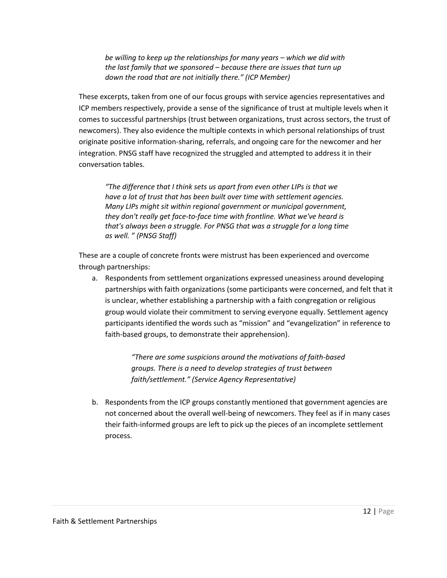*be willing to keep up the relationships for many years – which we did with the last family that we sponsored – because there are issues that turn up down the road that are not initially there." (ICP Member)*

These excerpts, taken from one of our focus groups with service agencies representatives and ICP members respectively, provide a sense of the significance of trust at multiple levels when it comes to successful partnerships (trust between organizations, trust across sectors, the trust of newcomers). They also evidence the multiple contexts in which personal relationships of trust originate positive information-sharing, referrals, and ongoing care for the newcomer and her integration. PNSG staff have recognized the struggled and attempted to address it in their conversation tables.

*"The difference that I think sets us apart from even other LIPs is that we have a lot of trust that has been built over time with settlement agencies. Many LIPs might sit within regional government or municipal government, they don't really get face-to-face time with frontline. What we've heard is that's always been a struggle. For PNSG that was a struggle for a long time as well. " (PNSG Staff)*

These are a couple of concrete fronts were mistrust has been experienced and overcome through partnerships:

a. Respondents from settlement organizations expressed uneasiness around developing partnerships with faith organizations (some participants were concerned, and felt that it is unclear, whether establishing a partnership with a faith congregation or religious group would violate their commitment to serving everyone equally. Settlement agency participants identified the words such as "mission" and "evangelization" in reference to faith-based groups, to demonstrate their apprehension).

> *"There are some suspicions around the motivations of faith-based groups. There is a need to develop strategies of trust between faith/settlement." (Service Agency Representative)*

b. Respondents from the ICP groups constantly mentioned that government agencies are not concerned about the overall well-being of newcomers. They feel as if in many cases their faith-informed groups are left to pick up the pieces of an incomplete settlement process.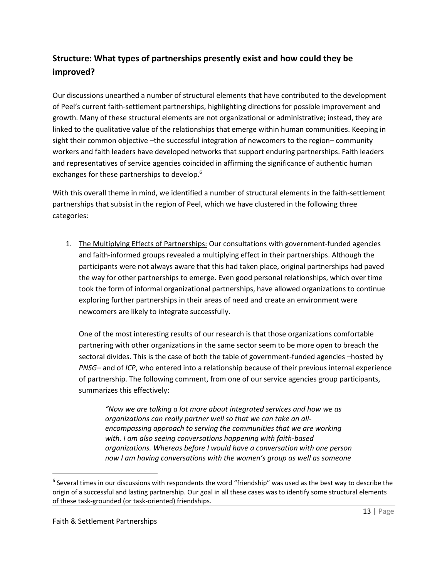## **Structure: What types of partnerships presently exist and how could they be improved?**

Our discussions unearthed a number of structural elements that have contributed to the development of Peel's current faith-settlement partnerships, highlighting directions for possible improvement and growth. Many of these structural elements are not organizational or administrative; instead, they are linked to the qualitative value of the relationships that emerge within human communities. Keeping in sight their common objective -the successful integration of newcomers to the region- community workers and faith leaders have developed networks that support enduring partnerships. Faith leaders and representatives of service agencies coincided in affirming the significance of authentic human exchanges for these partnerships to develop.<sup>6</sup>

With this overall theme in mind, we identified a number of structural elements in the faith-settlement partnerships that subsist in the region of Peel, which we have clustered in the following three categories:

1. The Multiplying Effects of Partnerships: Our consultations with government-funded agencies and faith-informed groups revealed a multiplying effect in their partnerships. Although the participants were not always aware that this had taken place, original partnerships had paved the way for other partnerships to emerge. Even good personal relationships, which over time took the form of informal organizational partnerships, have allowed organizations to continue exploring further partnerships in their areas of need and create an environment were newcomers are likely to integrate successfully.

One of the most interesting results of our research is that those organizations comfortable partnering with other organizations in the same sector seem to be more open to breach the sectoral divides. This is the case of both the table of government-funded agencies –hosted by *PNSG–* and of *ICP*, who entered into a relationship because of their previous internal experience of partnership. The following comment, from one of our service agencies group participants, summarizes this effectively:

*"Now we are talking a lot more about integrated services and how we as organizations can really partner well so that we can take an allencompassing approach to serving the communities that we are working with. I am also seeing conversations happening with faith-based organizations. Whereas before I would have a conversation with one person now I am having conversations with the women's group as well as someone* 

<sup>&</sup>lt;sup>6</sup> Several times in our discussions with respondents the word "friendship" was used as the best way to describe the origin of a successful and lasting partnership. Our goal in all these cases was to identify some structural elements of these task-grounded (or task-oriented) friendships.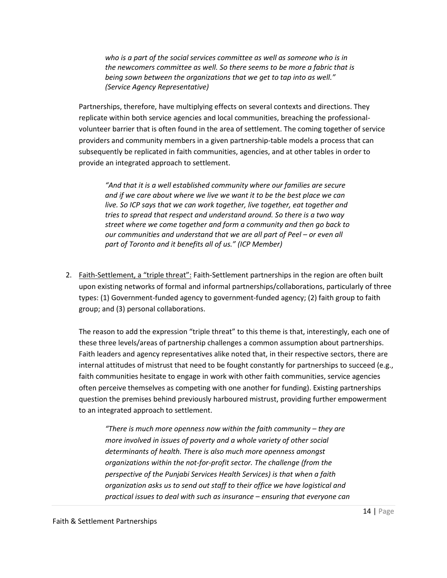*who is a part of the social services committee as well as someone who is in the newcomers committee as well. So there seems to be more a fabric that is being sown between the organizations that we get to tap into as well." (Service Agency Representative)*

Partnerships, therefore, have multiplying effects on several contexts and directions. They replicate within both service agencies and local communities, breaching the professionalvolunteer barrier that is often found in the area of settlement. The coming together of service providers and community members in a given partnership-table models a process that can subsequently be replicated in faith communities, agencies, and at other tables in order to provide an integrated approach to settlement.

*"And that it is a well established community where our families are secure and if we care about where we live we want it to be the best place we can live. So ICP says that we can work together, live together, eat together and tries to spread that respect and understand around. So there is a two way street where we come together and form a community and then go back to our communities and understand that we are all part of Peel – or even all part of Toronto and it benefits all of us." (ICP Member)*

2. Faith-Settlement, a "triple threat": Faith-Settlement partnerships in the region are often built upon existing networks of formal and informal partnerships/collaborations, particularly of three types: (1) Government-funded agency to government-funded agency; (2) faith group to faith group; and (3) personal collaborations.

The reason to add the expression "triple threat" to this theme is that, interestingly, each one of these three levels/areas of partnership challenges a common assumption about partnerships. Faith leaders and agency representatives alike noted that, in their respective sectors, there are internal attitudes of mistrust that need to be fought constantly for partnerships to succeed (e.g., faith communities hesitate to engage in work with other faith communities, service agencies often perceive themselves as competing with one another for funding). Existing partnerships question the premises behind previously harboured mistrust, providing further empowerment to an integrated approach to settlement.

*"There is much more openness now within the faith community – they are more involved in issues of poverty and a whole variety of other social determinants of health. There is also much more openness amongst organizations within the not-for-profit sector. The challenge (from the perspective of the Punjabi Services Health Services) is that when a faith organization asks us to send out staff to their office we have logistical and practical issues to deal with such as insurance – ensuring that everyone can*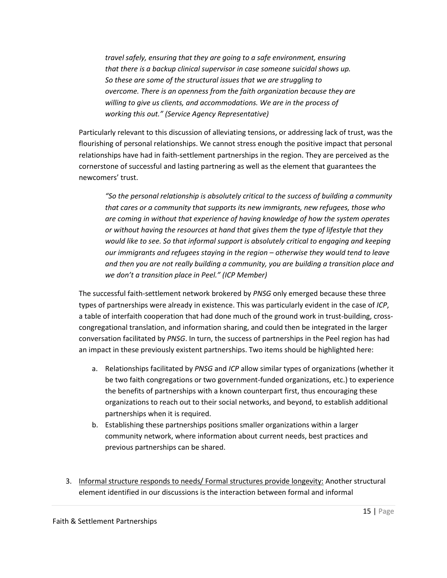*travel safely, ensuring that they are going to a safe environment, ensuring that there is a backup clinical supervisor in case someone suicidal shows up. So these are some of the structural issues that we are struggling to overcome. There is an openness from the faith organization because they are willing to give us clients, and accommodations. We are in the process of working this out." (Service Agency Representative)*

Particularly relevant to this discussion of alleviating tensions, or addressing lack of trust, was the flourishing of personal relationships. We cannot stress enough the positive impact that personal relationships have had in faith-settlement partnerships in the region. They are perceived as the cornerstone of successful and lasting partnering as well as the element that guarantees the newcomers' trust.

*"So the personal relationship is absolutely critical to the success of building a community that cares or a community that supports its new immigrants, new refugees, those who are coming in without that experience of having knowledge of how the system operates or without having the resources at hand that gives them the type of lifestyle that they would like to see. So that informal support is absolutely critical to engaging and keeping our immigrants and refugees staying in the region – otherwise they would tend to leave and then you are not really building a community, you are building a transition place and we don't a transition place in Peel." (ICP Member)*

The successful faith-settlement network brokered by *PNSG* only emerged because these three types of partnerships were already in existence. This was particularly evident in the case of *ICP*, a table of interfaith cooperation that had done much of the ground work in trust-building, crosscongregational translation, and information sharing, and could then be integrated in the larger conversation facilitated by *PNSG*. In turn, the success of partnerships in the Peel region has had an impact in these previously existent partnerships. Two items should be highlighted here:

- a. Relationships facilitated by *PNSG* and *ICP* allow similar types of organizations (whether it be two faith congregations or two government-funded organizations, etc.) to experience the benefits of partnerships with a known counterpart first, thus encouraging these organizations to reach out to their social networks, and beyond, to establish additional partnerships when it is required.
- b. Establishing these partnerships positions smaller organizations within a larger community network, where information about current needs, best practices and previous partnerships can be shared.
- 3. Informal structure responds to needs/ Formal structures provide longevity: Another structural element identified in our discussions is the interaction between formal and informal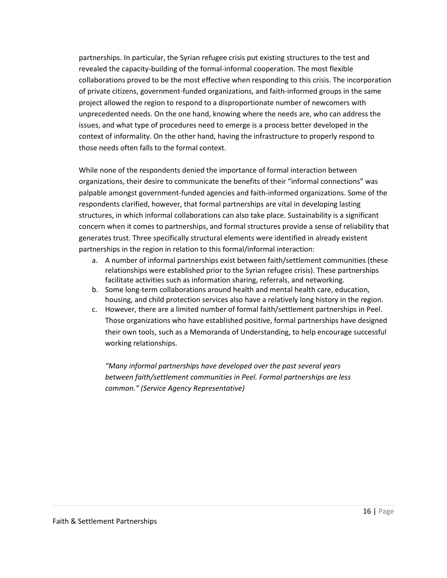partnerships. In particular, the Syrian refugee crisis put existing structures to the test and revealed the capacity-building of the formal-informal cooperation. The most flexible collaborations proved to be the most effective when responding to this crisis. The incorporation of private citizens, government-funded organizations, and faith-informed groups in the same project allowed the region to respond to a disproportionate number of newcomers with unprecedented needs. On the one hand, knowing where the needs are, who can address the issues, and what type of procedures need to emerge is a process better developed in the context of informality. On the other hand, having the infrastructure to properly respond to those needs often falls to the formal context.

While none of the respondents denied the importance of formal interaction between organizations, their desire to communicate the benefits of their "informal connections" was palpable amongst government-funded agencies and faith-informed organizations. Some of the respondents clarified, however, that formal partnerships are vital in developing lasting structures, in which informal collaborations can also take place. Sustainability is a significant concern when it comes to partnerships, and formal structures provide a sense of reliability that generates trust. Three specifically structural elements were identified in already existent partnerships in the region in relation to this formal/informal interaction:

- a. A number of informal partnerships exist between faith/settlement communities (these relationships were established prior to the Syrian refugee crisis). These partnerships facilitate activities such as information sharing, referrals, and networking.
- b. Some long-term collaborations around health and mental health care, education, housing, and child protection services also have a relatively long history in the region.
- c. However, there are a limited number of formal faith/settlement partnerships in Peel. Those organizations who have established positive, formal partnerships have designed their own tools, such as a Memoranda of Understanding, to help encourage successful working relationships.

*"Many informal partnerships have developed over the past several years between faith/settlement communities in Peel. Formal partnerships are less common." (Service Agency Representative)*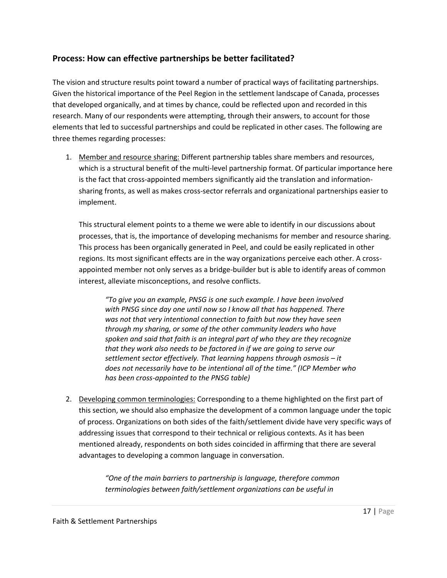#### **Process: How can effective partnerships be better facilitated?**

The vision and structure results point toward a number of practical ways of facilitating partnerships. Given the historical importance of the Peel Region in the settlement landscape of Canada, processes that developed organically, and at times by chance, could be reflected upon and recorded in this research. Many of our respondents were attempting, through their answers, to account for those elements that led to successful partnerships and could be replicated in other cases. The following are three themes regarding processes:

1. Member and resource sharing: Different partnership tables share members and resources, which is a structural benefit of the multi-level partnership format. Of particular importance here is the fact that cross-appointed members significantly aid the translation and informationsharing fronts, as well as makes cross-sector referrals and organizational partnerships easier to implement.

This structural element points to a theme we were able to identify in our discussions about processes, that is, the importance of developing mechanisms for member and resource sharing. This process has been organically generated in Peel, and could be easily replicated in other regions. Its most significant effects are in the way organizations perceive each other. A crossappointed member not only serves as a bridge-builder but is able to identify areas of common interest, alleviate misconceptions, and resolve conflicts.

*"To give you an example, PNSG is one such example. I have been involved with PNSG since day one until now so I know all that has happened. There was not that very intentional connection to faith but now they have seen through my sharing, or some of the other community leaders who have spoken and said that faith is an integral part of who they are they recognize that they work also needs to be factored in if we are going to serve our settlement sector effectively. That learning happens through osmosis – it does not necessarily have to be intentional all of the time." (ICP Member who has been cross-appointed to the PNSG table)*

2. Developing common terminologies: Corresponding to a theme highlighted on the first part of this section, we should also emphasize the development of a common language under the topic of process. Organizations on both sides of the faith/settlement divide have very specific ways of addressing issues that correspond to their technical or religious contexts. As it has been mentioned already, respondents on both sides coincided in affirming that there are several advantages to developing a common language in conversation.

> *"One of the main barriers to partnership is language, therefore common terminologies between faith/settlement organizations can be useful in*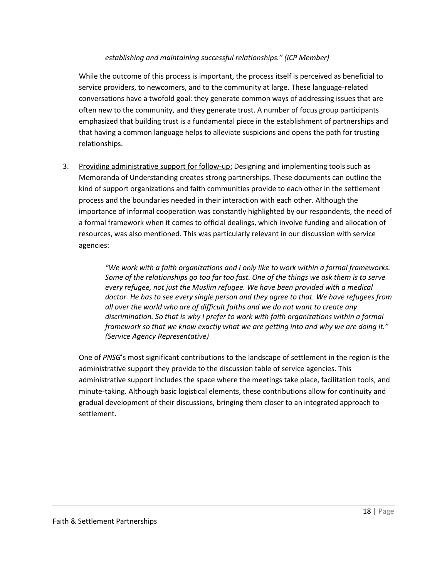#### *establishing and maintaining successful relationships." (ICP Member)*

While the outcome of this process is important, the process itself is perceived as beneficial to service providers, to newcomers, and to the community at large. These language-related conversations have a twofold goal: they generate common ways of addressing issues that are often new to the community, and they generate trust. A number of focus group participants emphasized that building trust is a fundamental piece in the establishment of partnerships and that having a common language helps to alleviate suspicions and opens the path for trusting relationships.

3. Providing administrative support for follow-up: Designing and implementing tools such as Memoranda of Understanding creates strong partnerships. These documents can outline the kind of support organizations and faith communities provide to each other in the settlement process and the boundaries needed in their interaction with each other. Although the importance of informal cooperation was constantly highlighted by our respondents, the need of a formal framework when it comes to official dealings, which involve funding and allocation of resources, was also mentioned. This was particularly relevant in our discussion with service agencies:

> *"We work with a faith organizations and I only like to work within a formal frameworks. Some of the relationships go too far too fast. One of the things we ask them is to serve every refugee, not just the Muslim refugee. We have been provided with a medical doctor. He has to see every single person and they agree to that. We have refugees from all over the world who are of difficult faiths and we do not want to create any discrimination. So that is why I prefer to work with faith organizations within a formal framework so that we know exactly what we are getting into and why we are doing it." (Service Agency Representative)*

One of *PNSG*'s most significant contributions to the landscape of settlement in the region is the administrative support they provide to the discussion table of service agencies. This administrative support includes the space where the meetings take place, facilitation tools, and minute-taking. Although basic logistical elements, these contributions allow for continuity and gradual development of their discussions, bringing them closer to an integrated approach to settlement.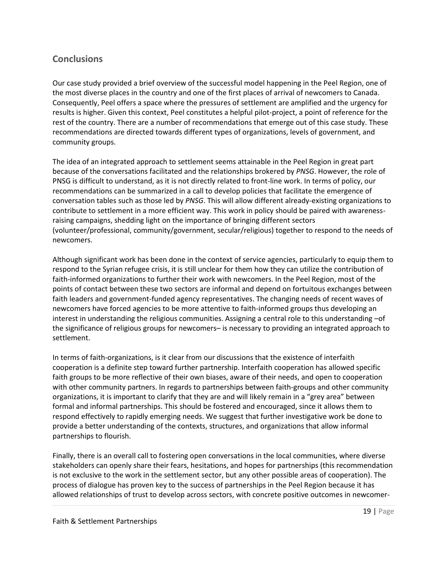### **Conclusions**

Our case study provided a brief overview of the successful model happening in the Peel Region, one of the most diverse places in the country and one of the first places of arrival of newcomers to Canada. Consequently, Peel offers a space where the pressures of settlement are amplified and the urgency for results is higher. Given this context, Peel constitutes a helpful pilot-project, a point of reference for the rest of the country. There are a number of recommendations that emerge out of this case study. These recommendations are directed towards different types of organizations, levels of government, and community groups.

The idea of an integrated approach to settlement seems attainable in the Peel Region in great part because of the conversations facilitated and the relationships brokered by *PNSG*. However, the role of PNSG is difficult to understand, as it is not directly related to front-line work. In terms of policy, our recommendations can be summarized in a call to develop policies that facilitate the emergence of conversation tables such as those led by *PNSG*. This will allow different already-existing organizations to contribute to settlement in a more efficient way. This work in policy should be paired with awarenessraising campaigns, shedding light on the importance of bringing different sectors (volunteer/professional, community/government, secular/religious) together to respond to the needs of newcomers.

Although significant work has been done in the context of service agencies, particularly to equip them to respond to the Syrian refugee crisis, it is still unclear for them how they can utilize the contribution of faith-informed organizations to further their work with newcomers. In the Peel Region, most of the points of contact between these two sectors are informal and depend on fortuitous exchanges between faith leaders and government-funded agency representatives. The changing needs of recent waves of newcomers have forced agencies to be more attentive to faith-informed groups thus developing an interest in understanding the religious communities. Assigning a central role to this understanding –of the significance of religious groups for newcomers– is necessary to providing an integrated approach to settlement.

In terms of faith-organizations, is it clear from our discussions that the existence of interfaith cooperation is a definite step toward further partnership. Interfaith cooperation has allowed specific faith groups to be more reflective of their own biases, aware of their needs, and open to cooperation with other community partners. In regards to partnerships between faith-groups and other community organizations, it is important to clarify that they are and will likely remain in a "grey area" between formal and informal partnerships. This should be fostered and encouraged, since it allows them to respond effectively to rapidly emerging needs. We suggest that further investigative work be done to provide a better understanding of the contexts, structures, and organizations that allow informal partnerships to flourish.

Finally, there is an overall call to fostering open conversations in the local communities, where diverse stakeholders can openly share their fears, hesitations, and hopes for partnerships (this recommendation is not exclusive to the work in the settlement sector, but any other possible areas of cooperation). The process of dialogue has proven key to the success of partnerships in the Peel Region because it has allowed relationships of trust to develop across sectors, with concrete positive outcomes in newcomer